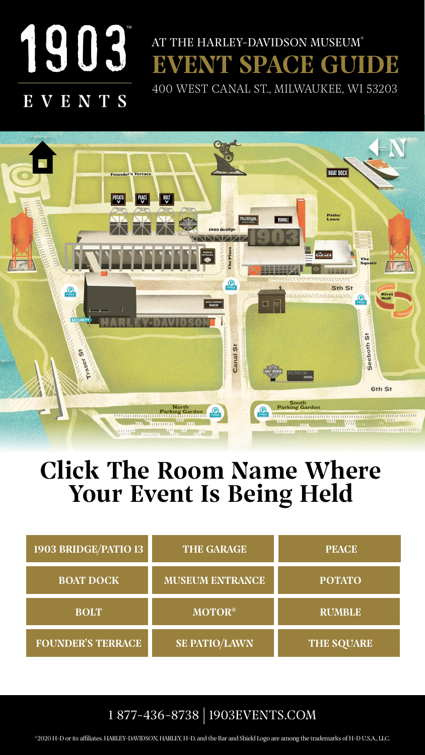

## EVENTS



#### ©2020 H-D or its affiliates. HARLEY-DAVIDSON, HARLEY, H-D, and the Bar and Shield Logo are among the trademarks of H-D U.S.A., LLC.

## Click The Room Name Where Your Event Is Being Held

| 1903 BRIDGE/PATIO 13     | THE GARAGE             | <b>PEACE</b>      |
|--------------------------|------------------------|-------------------|
| <b>BOAT DOCK</b>         | <b>MUSEUM ENTRANCE</b> | <b>POTATO</b>     |
| <b>BOLT</b>              | <b>MOTOR®</b>          | <b>RUMBLE</b>     |
| <b>FOUNDER'S TERRACE</b> | <b>SE PATIO/LAWN</b>   | <b>THE SQUARE</b> |

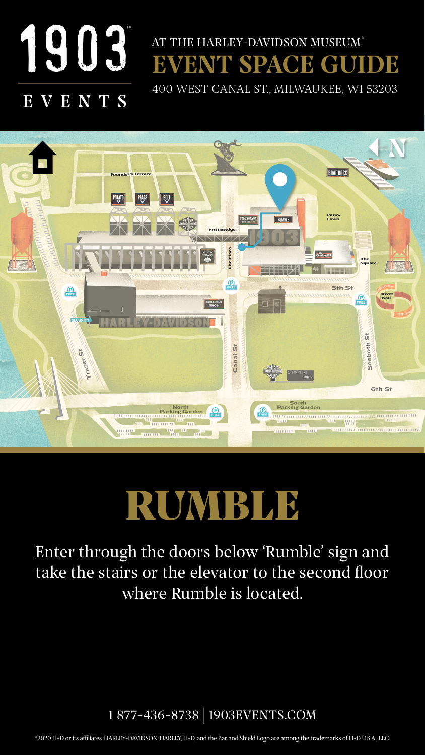<span id="page-1-0"></span>

## EVENTS

Enter through the doors below 'Rumble' sign and take the stairs or the elevator to the second floor where Rumble is located.



#### ©2020 H-D or its affiliates. HARLEY-DAVIDSON, HARLEY, H-D, and the Bar and Shield Logo are among the trademarks of H-D U.S.A., LLC.



## RUMBIA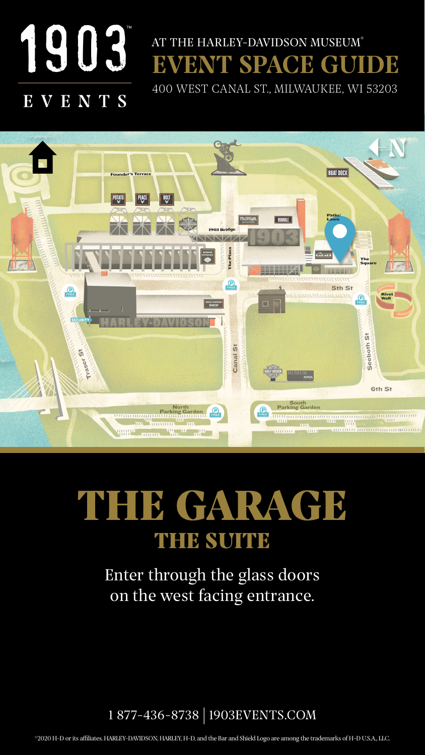<span id="page-2-0"></span>

## EVENTS

Enter through the glass doors on the west facing entrance.



#### ©2020 H-D or its affiliates. HARLEY-DAVIDSON, HARLEY, H-D, and the Bar and Shield Logo are among the trademarks of H-D U.S.A., LLC.



## THE GARAGE THE SUITE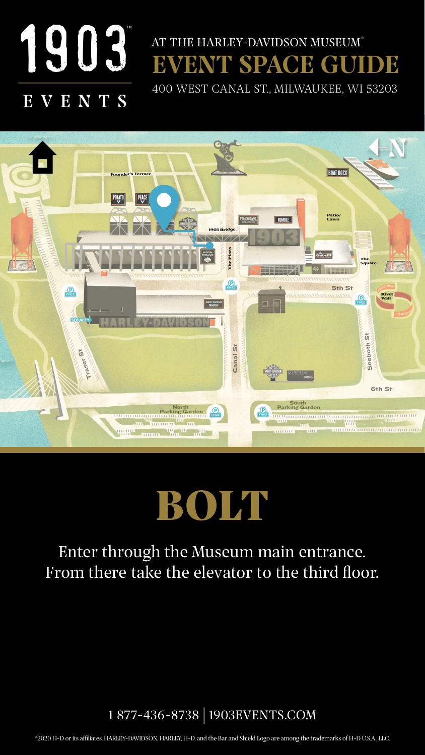<span id="page-3-0"></span>

## EVENTS

### Enter through the Museum main entrance. From there take the elevator to the third floor.



#### ©2020 H-D or its affiliates. HARLEY-DAVIDSON, HARLEY, H-D, and the Bar and Shield Logo are among the trademarks of H-D U.S.A., LLC.



## BOIH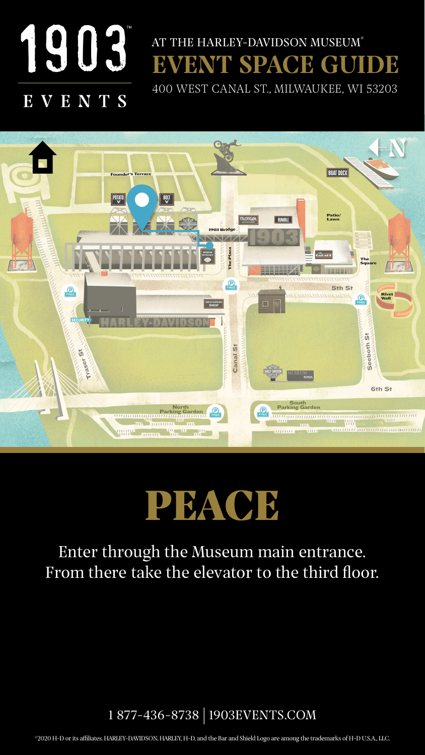<span id="page-4-0"></span>

## EVENTS

### Enter through the Museum main entrance. From there take the elevator to the third floor.



#### ©2020 H-D or its affiliates. HARLEY-DAVIDSON, HARLEY, H-D, and the Bar and Shield Logo are among the trademarks of H-D U.S.A., LLC.



## PEACE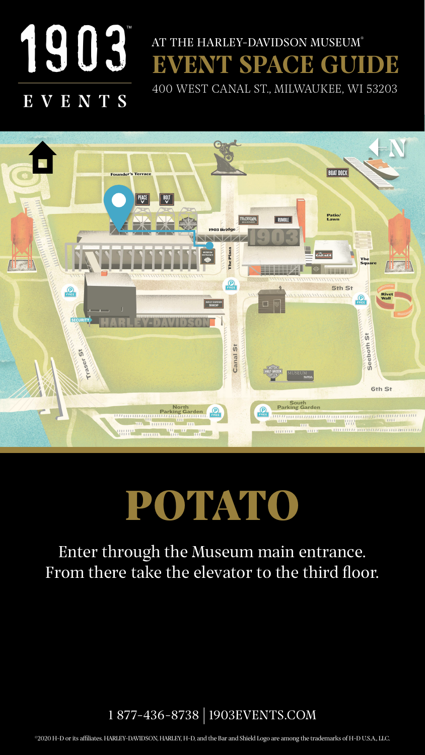<span id="page-5-0"></span>

## EVENTS

## POTATO

Enter through the Museum main entrance. From there take the elevator to the third floor.



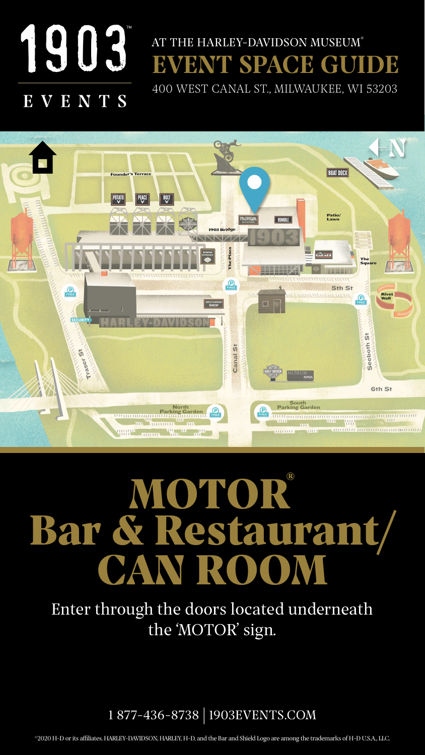<span id="page-6-0"></span>![](_page_6_Picture_0.jpeg)

## EVENTS

# MOTOR® Bar & Restaurant/ CAN ROOM

Enter through the doors located underneath the 'MOTOR' sign.

![](_page_6_Picture_6.jpeg)

![](_page_6_Picture_3.jpeg)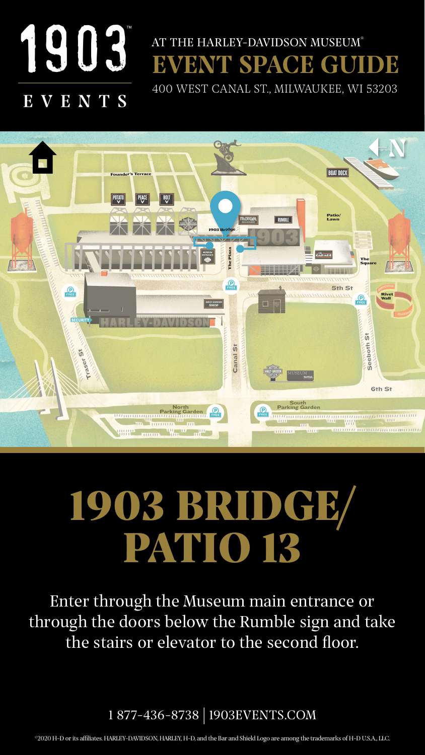<span id="page-7-0"></span>![](_page_7_Picture_0.jpeg)

## EVENTS

Enter through the Museum main entrance or through the doors below the Rumble sign and take the stairs or elevator to the second floor.

## 1903 BRIDGE/ PATIO 18

![](_page_7_Picture_6.jpeg)

![](_page_7_Picture_3.jpeg)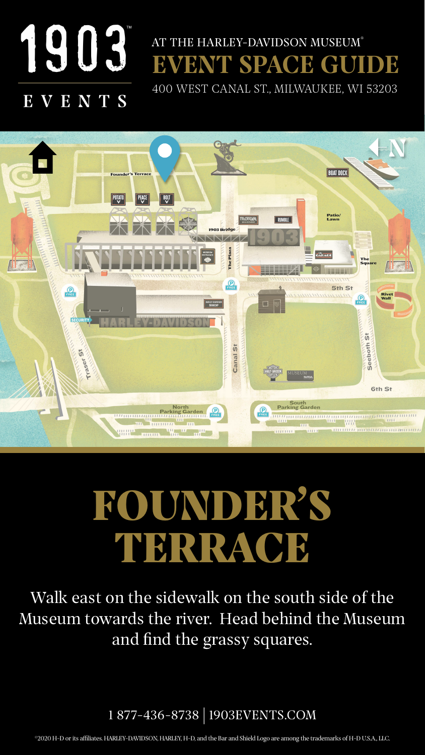<span id="page-8-0"></span>![](_page_8_Picture_0.jpeg)

## EVENTS

Walk east on the sidewalk on the south side of the Museum towards the river. Head behind the Museum and find the grassy squares.

![](_page_8_Picture_6.jpeg)

#### ©2020 H-D or its affiliates. HARLEY-DAVIDSON, HARLEY, H-D, and the Bar and Shield Logo are among the trademarks of H-D U.S.A., LLC.

![](_page_8_Picture_3.jpeg)

## FOUNDER'S TERRACE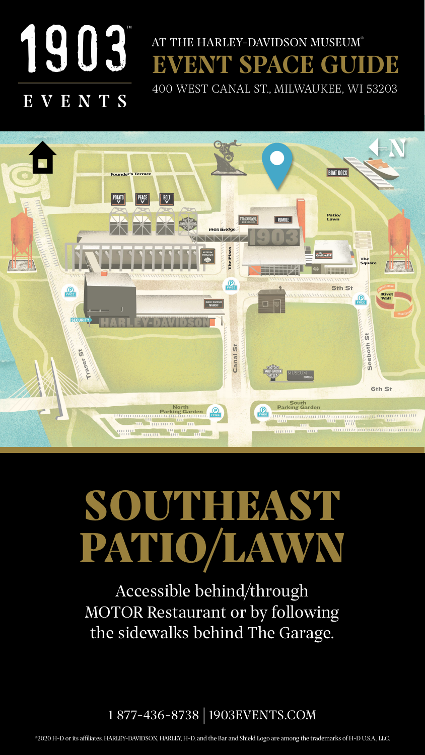<span id="page-9-0"></span>![](_page_9_Picture_0.jpeg)

#### VENTS E

## SOUTHEIBAST PATIO/LAWN

Accessible behind/through MOTOR Restaurant or by following the sidewalks behind The Garage.

![](_page_9_Picture_6.jpeg)

![](_page_9_Picture_3.jpeg)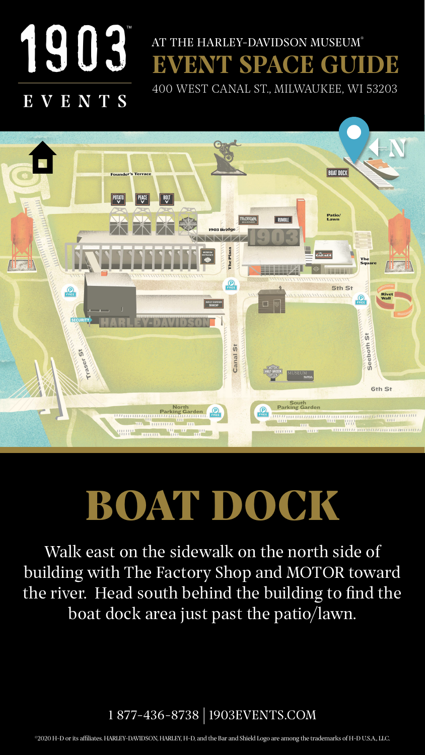<span id="page-10-0"></span>![](_page_10_Picture_0.jpeg)

## EVENT SPACE GUIDE AT THE HARLEY-DAVIDSON MUSEUM®

Walk east on the sidewalk on the north side of building with The Factory Shop and MOTOR toward the river. Head south behind the building to find the boat dock area just past the patio/lawn.

[400 WEST CANAL ST., MILWAUKEE, WI 5320](https://www.google.com/maps/place/Harley-Davidson+Museum/@43.0316745,-87.9187131,17z/data=!3m1!4b1!4m5!3m4!1s0x88051999bd9a061f:0xd7d05eb27f5f327f!8m2!3d43.0316706!4d-87.9165244)3

![](_page_10_Picture_3.jpeg)

![](_page_10_Picture_7.jpeg)

#### ©2020 H-D or its affiliates. HARLEY-DAVIDSON, HARLEY, H-D, and the Bar and Shield Logo are among the trademarks of H-D U.S.A., LLC.

![](_page_10_Picture_4.jpeg)

## BOAT DOCK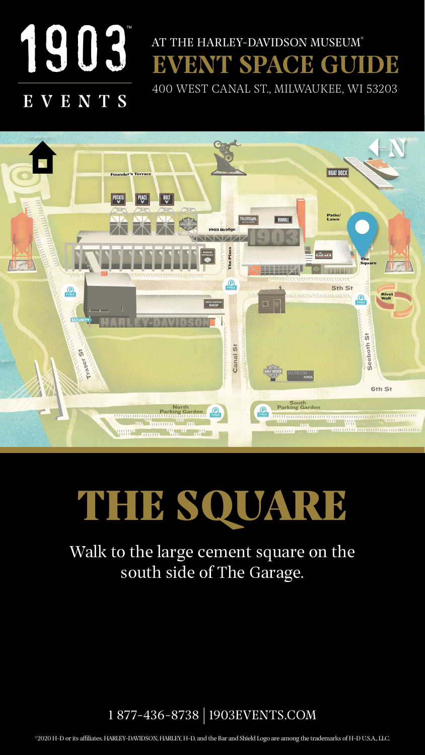<span id="page-11-0"></span>![](_page_11_Picture_0.jpeg)

## EVENTS

Walk to the large cement square on the south side of The Garage.

![](_page_11_Picture_3.jpeg)

## THE SQUARE

![](_page_11_Picture_6.jpeg)